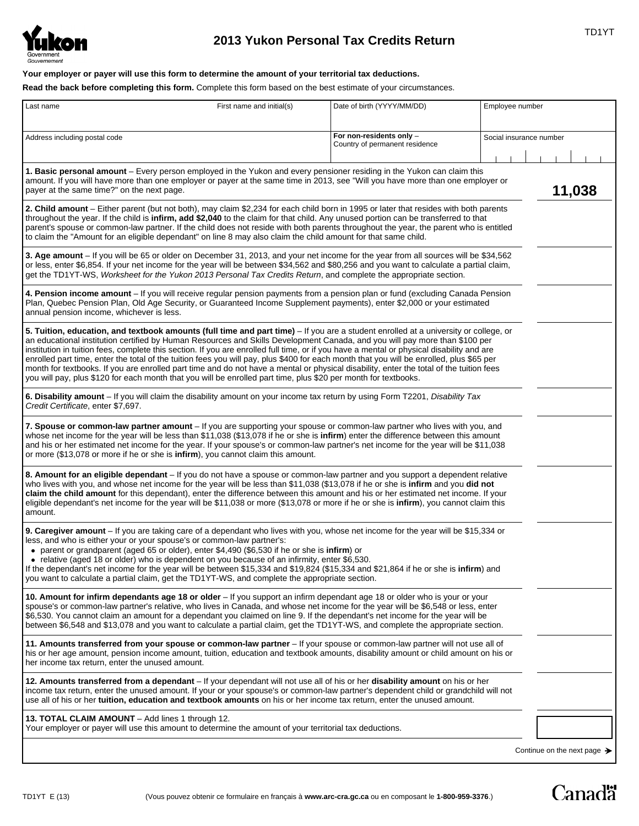

# **2013 Yukon Personal Tax Credits Return** TRIP TO TRIP TO TRIP TO TRIP TO TRIP TO TRIP TO TRIP TO TRIP TO TRIP TO

**Your employer or payer will use this form to determine the amount of your territorial tax deductions.**

**Read the back before completing this form.** Complete this form based on the best estimate of your circumstances.

| Last name                                                                                                                                                                                                                                                                                                                                                                                                                                                                                                                                                                                                                                                                                                                                                                                                                  | First name and initial(s) | Date of birth (YYYY/MM/DD)                                 | Employee number         |        |
|----------------------------------------------------------------------------------------------------------------------------------------------------------------------------------------------------------------------------------------------------------------------------------------------------------------------------------------------------------------------------------------------------------------------------------------------------------------------------------------------------------------------------------------------------------------------------------------------------------------------------------------------------------------------------------------------------------------------------------------------------------------------------------------------------------------------------|---------------------------|------------------------------------------------------------|-------------------------|--------|
| Address including postal code                                                                                                                                                                                                                                                                                                                                                                                                                                                                                                                                                                                                                                                                                                                                                                                              |                           | For non-residents only -<br>Country of permanent residence | Social insurance number |        |
| 1. Basic personal amount - Every person employed in the Yukon and every pensioner residing in the Yukon can claim this<br>amount. If you will have more than one employer or payer at the same time in 2013, see "Will you have more than one employer or<br>payer at the same time?" on the next page.                                                                                                                                                                                                                                                                                                                                                                                                                                                                                                                    |                           |                                                            |                         | 11,038 |
| 2. Child amount - Either parent (but not both), may claim \$2,234 for each child born in 1995 or later that resides with both parents<br>throughout the year. If the child is infirm, add \$2,040 to the claim for that child. Any unused portion can be transferred to that<br>parent's spouse or common-law partner. If the child does not reside with both parents throughout the year, the parent who is entitled<br>to claim the "Amount for an eligible dependant" on line 8 may also claim the child amount for that same child.                                                                                                                                                                                                                                                                                    |                           |                                                            |                         |        |
| 3. Age amount – If you will be 65 or older on December 31, 2013, and your net income for the year from all sources will be \$34,562<br>or less, enter \$6,854. If your net income for the year will be between \$34,562 and \$80,256 and you want to calculate a partial claim,<br>get the TD1YT-WS, Worksheet for the Yukon 2013 Personal Tax Credits Return, and complete the appropriate section.                                                                                                                                                                                                                                                                                                                                                                                                                       |                           |                                                            |                         |        |
| 4. Pension income amount - If you will receive regular pension payments from a pension plan or fund (excluding Canada Pension<br>Plan, Quebec Pension Plan, Old Age Security, or Guaranteed Income Supplement payments), enter \$2,000 or your estimated<br>annual pension income, whichever is less.                                                                                                                                                                                                                                                                                                                                                                                                                                                                                                                      |                           |                                                            |                         |        |
| 5. Tuition, education, and textbook amounts (full time and part time) - If you are a student enrolled at a university or college, or<br>an educational institution certified by Human Resources and Skills Development Canada, and you will pay more than \$100 per<br>institution in tuition fees, complete this section. If you are enrolled full time, or if you have a mental or physical disability and are<br>enrolled part time, enter the total of the tuition fees you will pay, plus \$400 for each month that you will be enrolled, plus \$65 per<br>month for textbooks. If you are enrolled part time and do not have a mental or physical disability, enter the total of the tuition fees<br>you will pay, plus \$120 for each month that you will be enrolled part time, plus \$20 per month for textbooks. |                           |                                                            |                         |        |
| 6. Disability amount – If you will claim the disability amount on your income tax return by using Form T2201, Disability Tax<br>Credit Certificate, enter \$7,697.                                                                                                                                                                                                                                                                                                                                                                                                                                                                                                                                                                                                                                                         |                           |                                                            |                         |        |
| 7. Spouse or common-law partner amount – If you are supporting your spouse or common-law partner who lives with you, and<br>whose net income for the year will be less than \$11,038 (\$13,078 if he or she is infirm) enter the difference between this amount<br>and his or her estimated net income for the year. If your spouse's or common-law partner's net income for the year will be \$11,038<br>or more (\$13,078 or more if he or she is infirm), you cannot claim this amount.                                                                                                                                                                                                                                                                                                                                 |                           |                                                            |                         |        |
| 8. Amount for an eligible dependant – If you do not have a spouse or common-law partner and you support a dependent relative<br>who lives with you, and whose net income for the year will be less than \$11,038 (\$13,078 if he or she is infirm and you did not<br>claim the child amount for this dependant), enter the difference between this amount and his or her estimated net income. If your<br>eligible dependant's net income for the year will be \$11,038 or more (\$13,078 or more if he or she is <b>infirm</b> ), you cannot claim this<br>amount.                                                                                                                                                                                                                                                        |                           |                                                            |                         |        |
| 9. Caregiver amount - If you are taking care of a dependant who lives with you, whose net income for the year will be \$15,334 or<br>less, and who is either your or your spouse's or common-law partner's:<br>• parent or grandparent (aged 65 or older), enter \$4,490 (\$6,530 if he or she is infirm) or<br>relative (aged 18 or older) who is dependent on you because of an infirmity, enter \$6,530.<br>٠<br>If the dependant's net income for the year will be between \$15,334 and \$19,824 (\$15,334 and \$21,864 if he or she is infirm) and<br>you want to calculate a partial claim, get the TD1YT-WS, and complete the appropriate section.                                                                                                                                                                  |                           |                                                            |                         |        |
| 10. Amount for infirm dependants age 18 or older - If you support an infirm dependant age 18 or older who is your or your<br>spouse's or common-law partner's relative, who lives in Canada, and whose net income for the year will be \$6,548 or less, enter<br>\$6,530. You cannot claim an amount for a dependant you claimed on line 9. If the dependant's net income for the year will be<br>between \$6,548 and \$13,078 and you want to calculate a partial claim, get the TD1YT-WS, and complete the appropriate section.                                                                                                                                                                                                                                                                                          |                           |                                                            |                         |        |
| 11. Amounts transferred from your spouse or common-law partner - If your spouse or common-law partner will not use all of<br>his or her age amount, pension income amount, tuition, education and textbook amounts, disability amount or child amount on his or<br>her income tax return, enter the unused amount.                                                                                                                                                                                                                                                                                                                                                                                                                                                                                                         |                           |                                                            |                         |        |
| 12. Amounts transferred from a dependant – If your dependant will not use all of his or her disability amount on his or her<br>income tax return, enter the unused amount. If your or your spouse's or common-law partner's dependent child or grandchild will not<br>use all of his or her tuition, education and textbook amounts on his or her income tax return, enter the unused amount.                                                                                                                                                                                                                                                                                                                                                                                                                              |                           |                                                            |                         |        |
| 13. TOTAL CLAIM AMOUNT – Add lines 1 through 12.<br>Your employer or payer will use this amount to determine the amount of your territorial tax deductions.                                                                                                                                                                                                                                                                                                                                                                                                                                                                                                                                                                                                                                                                |                           |                                                            |                         |        |
|                                                                                                                                                                                                                                                                                                                                                                                                                                                                                                                                                                                                                                                                                                                                                                                                                            |                           |                                                            |                         |        |

**Canadä**